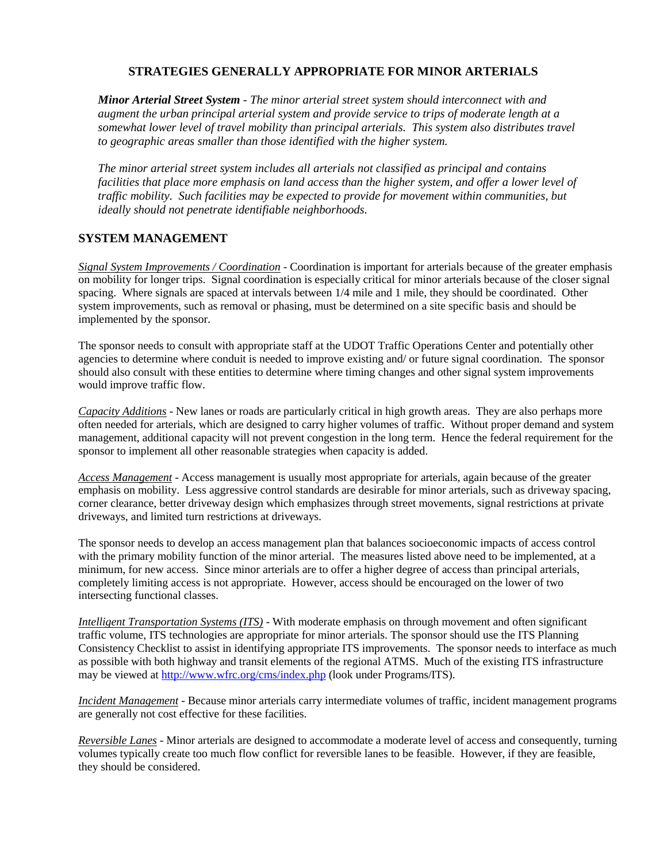## **STRATEGIES GENERALLY APPROPRIATE FOR MINOR ARTERIALS**

*Minor Arterial Street System - The minor arterial street system should interconnect with and augment the urban principal arterial system and provide service to trips of moderate length at a somewhat lower level of travel mobility than principal arterials. This system also distributes travel to geographic areas smaller than those identified with the higher system.*

*The minor arterial street system includes all arterials not classified as principal and contains facilities that place more emphasis on land access than the higher system, and offer a lower level of traffic mobility. Such facilities may be expected to provide for movement within communities, but ideally should not penetrate identifiable neighborhoods.*

## **SYSTEM MANAGEMENT**

*Signal System Improvements / Coordination* - Coordination is important for arterials because of the greater emphasis on mobility for longer trips. Signal coordination is especially critical for minor arterials because of the closer signal spacing. Where signals are spaced at intervals between 1/4 mile and 1 mile, they should be coordinated. Other system improvements, such as removal or phasing, must be determined on a site specific basis and should be implemented by the sponsor.

The sponsor needs to consult with appropriate staff at the UDOT Traffic Operations Center and potentially other agencies to determine where conduit is needed to improve existing and/ or future signal coordination. The sponsor should also consult with these entities to determine where timing changes and other signal system improvements would improve traffic flow.

*Capacity Additions* - New lanes or roads are particularly critical in high growth areas. They are also perhaps more often needed for arterials, which are designed to carry higher volumes of traffic. Without proper demand and system management, additional capacity will not prevent congestion in the long term. Hence the federal requirement for the sponsor to implement all other reasonable strategies when capacity is added.

*Access Management* - Access management is usually most appropriate for arterials, again because of the greater emphasis on mobility. Less aggressive control standards are desirable for minor arterials, such as driveway spacing, corner clearance, better driveway design which emphasizes through street movements, signal restrictions at private driveways, and limited turn restrictions at driveways.

The sponsor needs to develop an access management plan that balances socioeconomic impacts of access control with the primary mobility function of the minor arterial. The measures listed above need to be implemented, at a minimum, for new access. Since minor arterials are to offer a higher degree of access than principal arterials, completely limiting access is not appropriate. However, access should be encouraged on the lower of two intersecting functional classes.

*Intelligent Transportation Systems (ITS)* - With moderate emphasis on through movement and often significant traffic volume, ITS technologies are appropriate for minor arterials. The sponsor should use the ITS Planning Consistency Checklist to assist in identifying appropriate ITS improvements. The sponsor needs to interface as much as possible with both highway and transit elements of the regional ATMS. Much of the existing ITS infrastructure may be viewed at<http://www.wfrc.org/cms/index.php> (look under Programs/ITS).

*Incident Management* - Because minor arterials carry intermediate volumes of traffic, incident management programs are generally not cost effective for these facilities.

*Reversible Lanes* - Minor arterials are designed to accommodate a moderate level of access and consequently, turning volumes typically create too much flow conflict for reversible lanes to be feasible. However, if they are feasible, they should be considered.